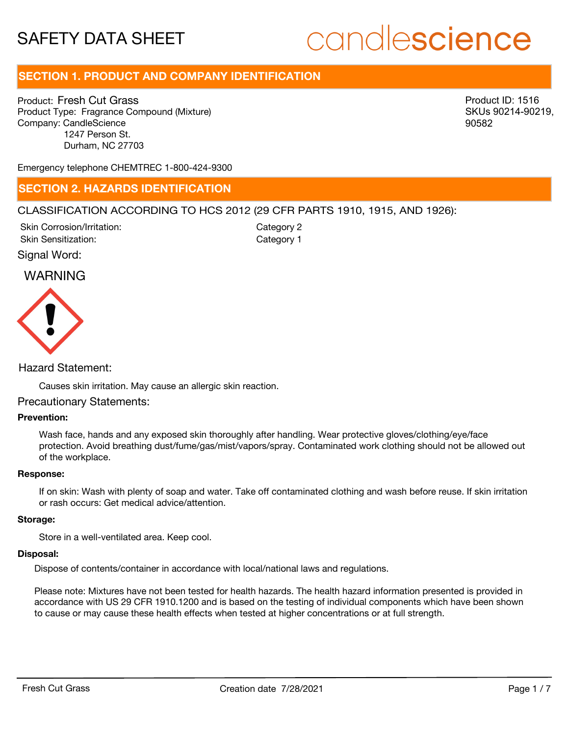# candlescience

# **SECTION 1. PRODUCT AND COMPANY IDENTIFICATION**

Product: Fresh Cut Grass Product Type: Fragrance Compound (Mixture) Company: CandleScience 1247 Person St. Durham, NC 27703

Product ID: 1516 SKUs 90214-90219, 90582

Emergency telephone CHEMTREC 1-800-424-9300

# **SECTION 2. HAZARDS IDENTIFICATION**

# CLASSIFICATION ACCORDING TO HCS 2012 (29 CFR PARTS 1910, 1915, AND 1926):

Skin Corrosion/Irritation: Skin Sensitization:

Category 2 Category 1

Signal Word:

# WARNING



# Hazard Statement:

Causes skin irritation. May cause an allergic skin reaction.

### Precautionary Statements:

# **Prevention:**

Wash face, hands and any exposed skin thoroughly after handling. Wear protective gloves/clothing/eye/face protection. Avoid breathing dust/fume/gas/mist/vapors/spray. Contaminated work clothing should not be allowed out of the workplace.

#### **Response:**

If on skin: Wash with plenty of soap and water. Take off contaminated clothing and wash before reuse. If skin irritation or rash occurs: Get medical advice/attention.

#### **Storage:**

Store in a well-ventilated area. Keep cool.

## **Disposal:**

Dispose of contents/container in accordance with local/national laws and regulations.

Please note: Mixtures have not been tested for health hazards. The health hazard information presented is provided in accordance with US 29 CFR 1910.1200 and is based on the testing of individual components which have been shown to cause or may cause these health effects when tested at higher concentrations or at full strength.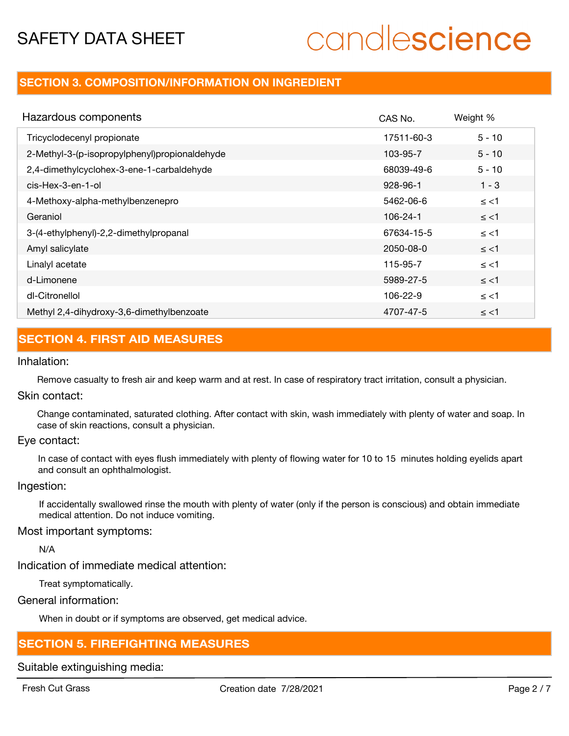# candlescience

# **SECTION 3. COMPOSITION/INFORMATION ON INGREDIENT**

| Hazardous components                          | CAS No.    | Weight % |
|-----------------------------------------------|------------|----------|
| Tricyclodecenyl propionate                    | 17511-60-3 | $5 - 10$ |
| 2-Methyl-3-(p-isopropylphenyl)propionaldehyde | 103-95-7   | $5 - 10$ |
| 2,4-dimethylcyclohex-3-ene-1-carbaldehyde     | 68039-49-6 | $5 - 10$ |
| cis-Hex-3-en-1-ol                             | 928-96-1   | $1 - 3$  |
| 4-Methoxy-alpha-methylbenzenepro              | 5462-06-6  | $\le$ <1 |
| Geraniol                                      | 106-24-1   | $\le$ <1 |
| 3-(4-ethylphenyl)-2,2-dimethylpropanal        | 67634-15-5 | $\le$ <1 |
| Amyl salicylate                               | 2050-08-0  | $\le$ <1 |
| Linalyl acetate                               | 115-95-7   | $\le$ <1 |
| d-Limonene                                    | 5989-27-5  | $\le$ <1 |
| dl-Citronellol                                | 106-22-9   | $\le$ <1 |
| Methyl 2,4-dihydroxy-3,6-dimethylbenzoate     | 4707-47-5  | $\le$ <1 |

# **SECTION 4. FIRST AID MEASURES**

# Inhalation:

Remove casualty to fresh air and keep warm and at rest. In case of respiratory tract irritation, consult a physician.

# Skin contact:

Change contaminated, saturated clothing. After contact with skin, wash immediately with plenty of water and soap. In case of skin reactions, consult a physician.

# Eye contact:

In case of contact with eyes flush immediately with plenty of flowing water for 10 to 15 minutes holding eyelids apart and consult an ophthalmologist.

### Ingestion:

If accidentally swallowed rinse the mouth with plenty of water (only if the person is conscious) and obtain immediate medical attention. Do not induce vomiting.

# Most important symptoms:

N/A

Indication of immediate medical attention:

Treat symptomatically.

General information:

When in doubt or if symptoms are observed, get medical advice.

# **SECTION 5. FIREFIGHTING MEASURES**

Suitable extinguishing media: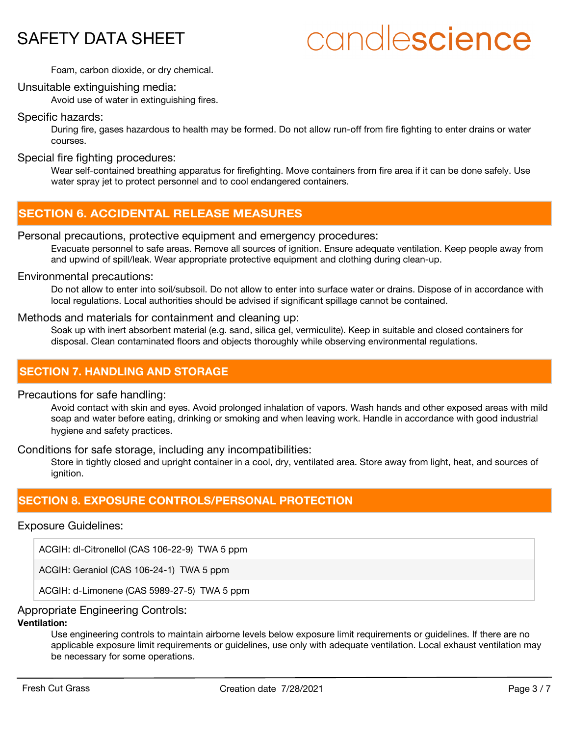# candlescience

Foam, carbon dioxide, or dry chemical.

# Unsuitable extinguishing media:

Avoid use of water in extinguishing fires.

# Specific hazards:

During fire, gases hazardous to health may be formed. Do not allow run-off from fire fighting to enter drains or water courses.

# Special fire fighting procedures:

Wear self-contained breathing apparatus for firefighting. Move containers from fire area if it can be done safely. Use water spray jet to protect personnel and to cool endangered containers.

# **SECTION 6. ACCIDENTAL RELEASE MEASURES**

# Personal precautions, protective equipment and emergency procedures:

Evacuate personnel to safe areas. Remove all sources of ignition. Ensure adequate ventilation. Keep people away from and upwind of spill/leak. Wear appropriate protective equipment and clothing during clean-up.

### Environmental precautions:

Do not allow to enter into soil/subsoil. Do not allow to enter into surface water or drains. Dispose of in accordance with local regulations. Local authorities should be advised if significant spillage cannot be contained.

# Methods and materials for containment and cleaning up:

Soak up with inert absorbent material (e.g. sand, silica gel, vermiculite). Keep in suitable and closed containers for disposal. Clean contaminated floors and objects thoroughly while observing environmental regulations.

# **SECTION 7. HANDLING AND STORAGE**

### Precautions for safe handling:

Avoid contact with skin and eyes. Avoid prolonged inhalation of vapors. Wash hands and other exposed areas with mild soap and water before eating, drinking or smoking and when leaving work. Handle in accordance with good industrial hygiene and safety practices.

## Conditions for safe storage, including any incompatibilities:

Store in tightly closed and upright container in a cool, dry, ventilated area. Store away from light, heat, and sources of ianition.

# **SECTION 8. EXPOSURE CONTROLS/PERSONAL PROTECTION**

# Exposure Guidelines:

ACGIH: dl-Citronellol (CAS 106-22-9) TWA 5 ppm

ACGIH: Geraniol (CAS 106-24-1) TWA 5 ppm

ACGIH: d-Limonene (CAS 5989-27-5) TWA 5 ppm

# Appropriate Engineering Controls:

# **Ventilation:**

Use engineering controls to maintain airborne levels below exposure limit requirements or guidelines. If there are no applicable exposure limit requirements or guidelines, use only with adequate ventilation. Local exhaust ventilation may be necessary for some operations.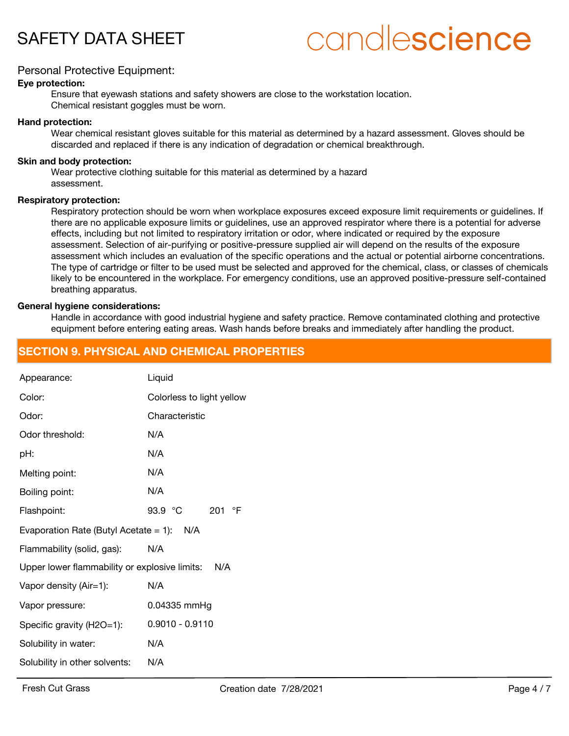

# candlescience

# Personal Protective Equipment:

#### **Eye protection:**

Ensure that eyewash stations and safety showers are close to the workstation location. Chemical resistant goggles must be worn.

#### **Hand protection:**

Wear chemical resistant gloves suitable for this material as determined by a hazard assessment. Gloves should be discarded and replaced if there is any indication of degradation or chemical breakthrough.

#### **Skin and body protection:**

Wear protective clothing suitable for this material as determined by a hazard assessment.

#### **Respiratory protection:**

Respiratory protection should be worn when workplace exposures exceed exposure limit requirements or guidelines. If there are no applicable exposure limits or guidelines, use an approved respirator where there is a potential for adverse effects, including but not limited to respiratory irritation or odor, where indicated or required by the exposure assessment. Selection of air-purifying or positive-pressure supplied air will depend on the results of the exposure assessment which includes an evaluation of the specific operations and the actual or potential airborne concentrations. The type of cartridge or filter to be used must be selected and approved for the chemical, class, or classes of chemicals likely to be encountered in the workplace. For emergency conditions, use an approved positive-pressure self-contained breathing apparatus.

#### **General hygiene considerations:**

Handle in accordance with good industrial hygiene and safety practice. Remove contaminated clothing and protective equipment before entering eating areas. Wash hands before breaks and immediately after handling the product.

# **SECTION 9. PHYSICAL AND CHEMICAL PROPERTIES**

| Appearance:                                       | Liquid                     |  |  |
|---------------------------------------------------|----------------------------|--|--|
| Color:                                            | Colorless to light yellow  |  |  |
| Odor:                                             | Characteristic             |  |  |
| Odor threshold:                                   | N/A                        |  |  |
| pH:                                               | N/A                        |  |  |
| Melting point:                                    | N/A                        |  |  |
| Boiling point:                                    | N/A                        |  |  |
| Flashpoint:                                       | 93.9 °C<br>201 $\degree$ F |  |  |
| Evaporation Rate (Butyl Acetate = 1): $N/A$       |                            |  |  |
| Flammability (solid, gas):                        | N/A                        |  |  |
| Upper lower flammability or explosive limits: N/A |                            |  |  |
| Vapor density (Air=1):                            | N/A                        |  |  |
| Vapor pressure:                                   | 0.04335 mmHg               |  |  |
| Specific gravity (H2O=1):                         | $0.9010 - 0.9110$          |  |  |
| Solubility in water:                              | N/A                        |  |  |
| Solubility in other solvents:                     | N/A                        |  |  |
|                                                   |                            |  |  |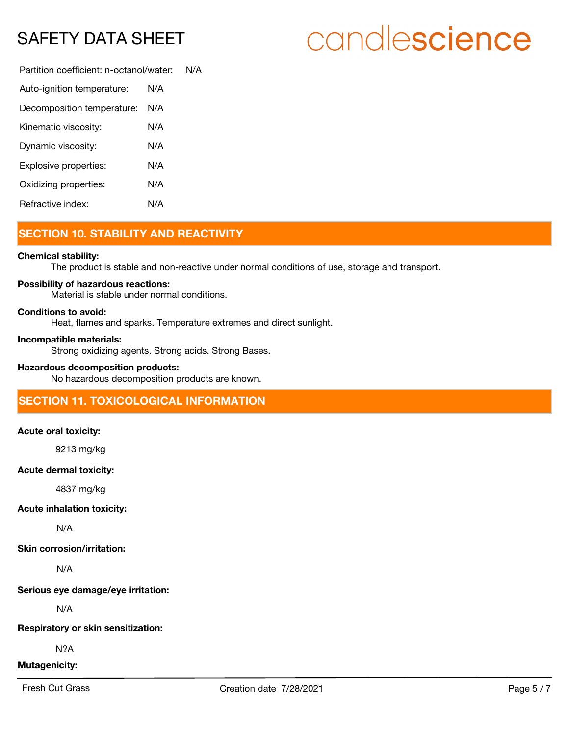# candlescience

Partition coefficient: n-octanol/water: N/A Auto-ignition temperature: N/A Decomposition temperature: N/A

| <b>PCOONINGO INCITED CREATER</b> |     |
|----------------------------------|-----|
| Kinematic viscosity:             | N/A |
| Dynamic viscosity:               | N/A |
| Explosive properties:            | N/A |
| Oxidizing properties:            | N/A |
| Refractive index:                | N/A |

# **SECTION 10. STABILITY AND REACTIVITY**

### **Chemical stability:**

The product is stable and non-reactive under normal conditions of use, storage and transport.

# **Possibility of hazardous reactions:**

Material is stable under normal conditions.

### **Conditions to avoid:**

Heat, flames and sparks. Temperature extremes and direct sunlight.

### **Incompatible materials:**

Strong oxidizing agents. Strong acids. Strong Bases.

# **Hazardous decomposition products:**

No hazardous decomposition products are known.

# **SECTION 11. TOXICOLOGICAL INFORMATION**

### **Acute oral toxicity:**

9213 mg/kg

# **Acute dermal toxicity:**

4837 mg/kg

### **Acute inhalation toxicity:**

N/A

# **Skin corrosion/irritation:**

N/A

# **Serious eye damage/eye irritation:**

N/A

### **Respiratory or skin sensitization:**

N?A

# **Mutagenicity:**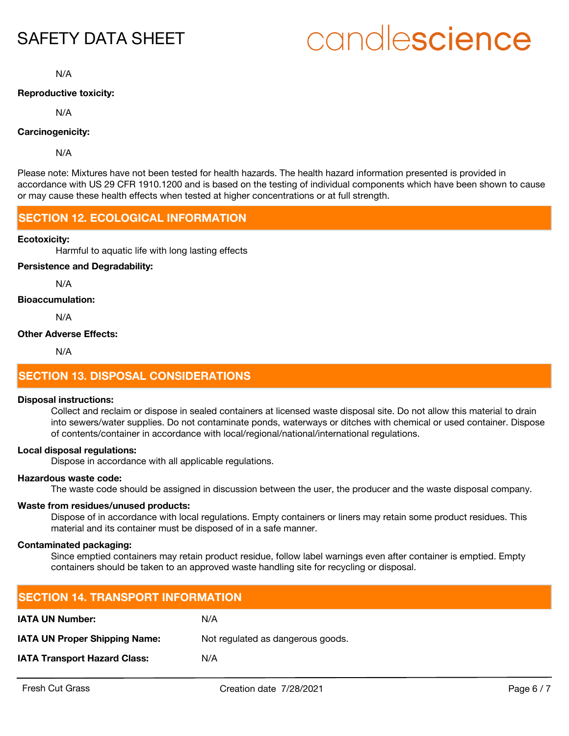# candlescience

N/A

### **Reproductive toxicity:**

N/A

# **Carcinogenicity:**

N/A

Please note: Mixtures have not been tested for health hazards. The health hazard information presented is provided in accordance with US 29 CFR 1910.1200 and is based on the testing of individual components which have been shown to cause or may cause these health effects when tested at higher concentrations or at full strength.

# **SECTION 12. ECOLOGICAL INFORMATION**

### **Ecotoxicity:**

Harmful to aquatic life with long lasting effects

# **Persistence and Degradability:**

N/A

# **Bioaccumulation:**

N/A

# **Other Adverse Effects:**

N/A

# **SECTION 13. DISPOSAL CONSIDERATIONS**

### **Disposal instructions:**

Collect and reclaim or dispose in sealed containers at licensed waste disposal site. Do not allow this material to drain into sewers/water supplies. Do not contaminate ponds, waterways or ditches with chemical or used container. Dispose of contents/container in accordance with local/regional/national/international regulations.

## **Local disposal regulations:**

Dispose in accordance with all applicable regulations.

### **Hazardous waste code:**

The waste code should be assigned in discussion between the user, the producer and the waste disposal company.

### **Waste from residues/unused products:**

Dispose of in accordance with local regulations. Empty containers or liners may retain some product residues. This material and its container must be disposed of in a safe manner.

### **Contaminated packaging:**

Since emptied containers may retain product residue, follow label warnings even after container is emptied. Empty containers should be taken to an approved waste handling site for recycling or disposal.

| <b>ISECTION 14. TRANSPORT INFORMATION</b> |                                   |  |  |
|-------------------------------------------|-----------------------------------|--|--|
| <b>IATA UN Number:</b>                    | N/A                               |  |  |
| <b>IATA UN Proper Shipping Name:</b>      | Not regulated as dangerous goods. |  |  |
| <b>IATA Transport Hazard Class:</b>       | N/A                               |  |  |